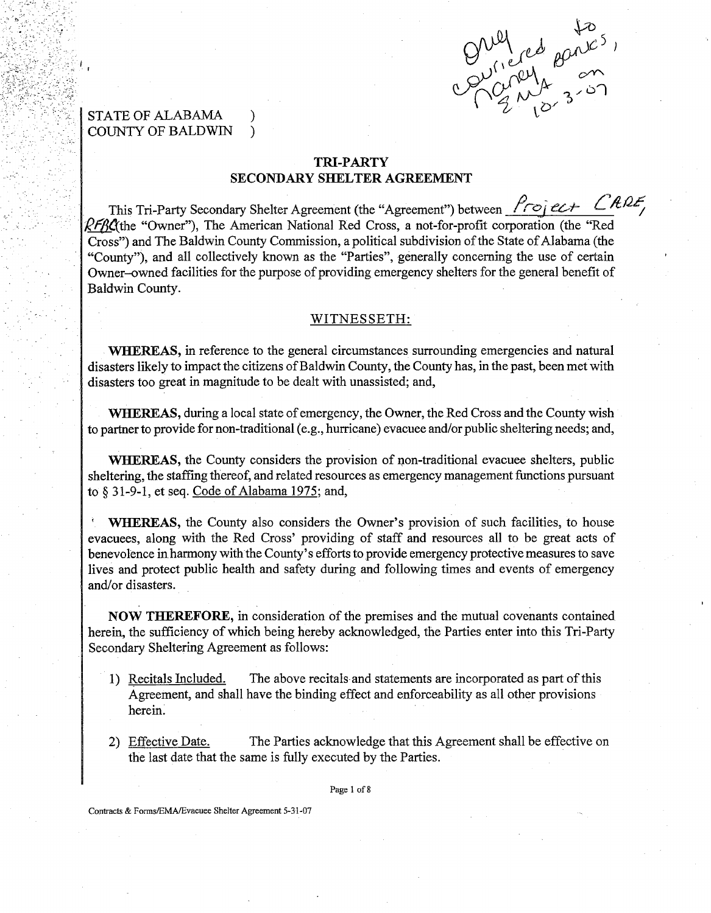

I

# **STATE OF ALABAMA** COUNTY OF BALDWIN )

# TRI-PARTY SECONDARY SHELTER AGREEMENT

This Tri-Party Secondary Shelter Agreement (the "Agreement") between <u>froject</u> CRRF  $RFFRC$  the "Owner"), The American National Red Cross, a not-for-profit corporation (the "Red Cross") and The Baldwin County Commission, a political subdivision of the State of Alabama (the "County"), and all collectively known as the "Parties", generally concerning the use of certain Owner-owned facilities for the purpose of providing emergency shelters for the general benefit of Baldwin County.

### WITNESSETH:

WHEREAS, in reference to the general circumstances surrounding emergencies and natural disasters likely to impact the citizens of Baldwin County, the County has, in the past, been met with disasters too great in magnitude to be dealt with unassisted; and,

WHEREAS, during a local state of emergency, the Owner, the Red Cross and the County wish to partner to provide for non-traditional (e.g., hurricane) evacuee and/or public sheltering needs; and,

WHEREAS, the County considers the provision of non-traditional evacuee shelters, public sheltering, the staffing thereof, and related resources as emergency management functions pursuant to **tj** 31-9-1, et seq. Code of Alabama 1975; and,

WHEREAS, the County also considers the Owner's provision of such facilities, to house evacuees, along with the Red Cross' providing of staff and resources all to be great acts of benevolence in harmony with the County's efforts to provide emergency protective measures to save lives and protect public health and safety during and following times and events of emergency and/or disasters.

NOW THEREFORE, in consideration of the premises and the mutual covenants contained herein, the sufficiency of which being hereby acknowledged, the Parties enter into this Tri-Party Secondary Sheltering Agreement as follows:

- 1) Recitals Included. The above recitals and statements are incorporated as part of this Agreement, and shall have the binding effect and enforceability as all other provisions herein.
- 2) Effective Date. The Parties acknowledge that this Agreement shall be effective on the last date that the same is fully executed by the Parties.

Page 1 of 8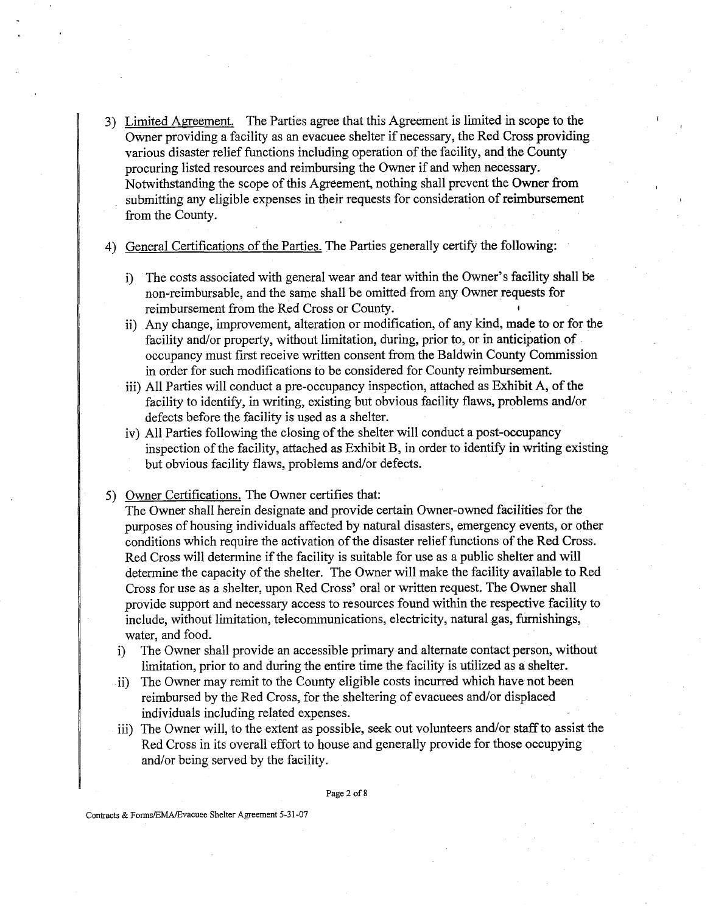3) Limited Agreement. The Parties agree that this Agreement is limited in scope to the Owner providing a facility as an evacuee shelter if necessary, the Red Cross providing various disaster relief functions including operation of the facility, and the County procuring listed resources and reimbursing the Owner if and when necessary. Notwithstanding the scope of this Agreement, nothing shall prevent the Owner from submitting any eligible expenses in their requests for consideration of reimbursement from the County.

4) General Certifications of the Parties. The Parties generally certify the following:

- i) The costs associated with general wear and tear within the Owner's facility shall be non-reimbursable, and the same shall be omitted from any Owner requests for reimbursement from the Red Cross or County.
- ii) Any change, improvement, alteration or modification, of any kind, made to or for the facility and/or property, without limitation, during, prior to, or in anticipation of occupancy must first receive written consent from the Baldwin County Commission in order for such modifications to be considered for County reimbursement.
- iii) All Parties will conduct a pre-occupancy inspection, attached as Exhibit A, of the facility to identify, in writing, existing but obvious facility flaws, problems and/or defects before the facility is used as a shelter.
- iv) All Parties following the closing of the shelter will conduct a post-occupancy inspection of the facility, attached as Exhibit B, in order to identify in writing existing but obvious facility flaws, problems and/or defects.
- 5) Owner Certifications. The Owner certifies that:

The Owner shall herein designate and provide certain Owner-owned facilities for the purposes of housing individuals affected by natural disasters, emergency events, or other conditions which require the activation of the disaster relief functions of the Red Cross. Red Cross will determine if the facility is suitable for use as a public shelter and will determine the capacity of the shelter. The Owner will make the facility available to Red Cross for use as a shelter, upon Red Cross' oral or written request. The Owner shall provide support and necessary access to resources found within the respective facility to include, without limitation, telecommunications, electricity, natural gas, furnishings, water, and food.

- i) The Owner shall provide an accessible primary and alternate contact person, without limitation, prior to and during the entire time the facility is utilized as a shelter.
- ii) The Owner may remit to the County eligible costs incurred which have not been reimbursed by the Red Cross, for the sheltering of evacuees and/or displaced individuals including related expenses.
- iii) The Owner will, to the extent as possible, seek out volunteers and/or staff to assist the Red Cross in its overall effort to house and generally provide for those occupying and/or being served by the facility.

Page **2** of **8**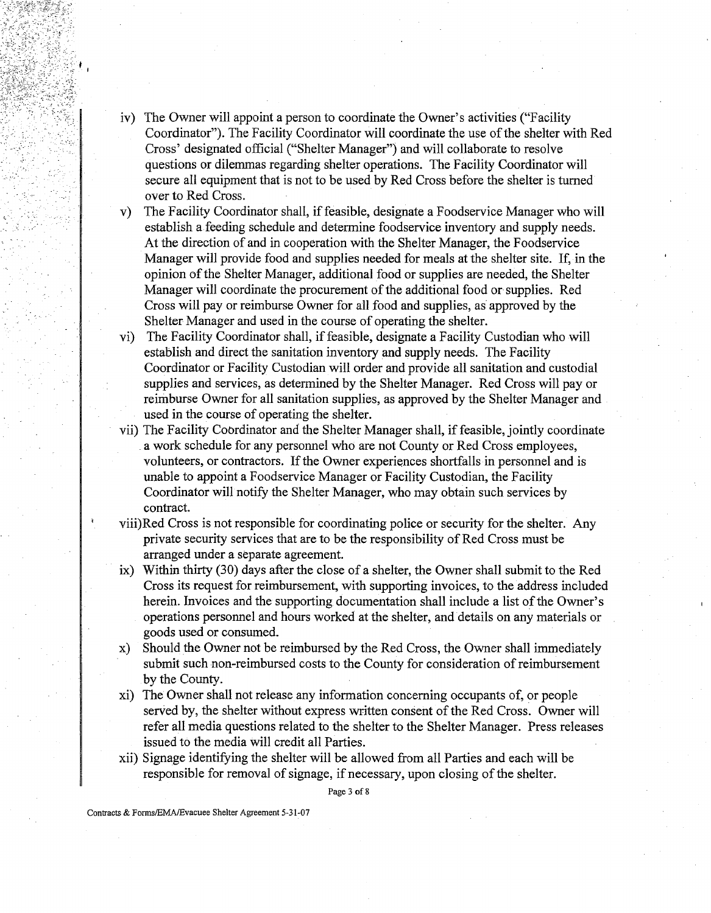- iv) The Owner will appoint a person to coordinate the Owner's activities ("Facility Coordinator"). The Facility Coordinator will coordinate the use of the shelter with Red Cross' designated official ("Shelter Manager") and will collaborate to resolve questions or dilemmas regarding shelter operations. The Facility Coordinator will secure all equipment that is not to be used by Red Cross before the shelter is turned over to Red Cross.
- v) The Facility Coordinator shall, if feasible, designate a Foodservice Manager who will establish a feeding schedule and determine foodservice inventory and supply needs. At the direction of and in cooperation with the Shelter Manager, the Foodservice Manager will provide food and supplies needed for meals at the shelter site. If, in the opinion of the Shelter Manager, additional food or supplies are needed, the Shelter Manager will coordinate the procurement of the additional food or supplies. Red Cross will pay or reimburse Owner for all food and supplies, as approved by the Shelter Manager and used in the course of operating the shelter.
- vi) The Facility Coordinator shall, if feasible, designate a Facility Custodian who will establish and direct the sanitation inventory and supply needs. The Facility Coordinator or Facility Custodian will order and provide all sanitation and custodial supplies and services, as determined by the Shelter Manager. Red Cross will pay or reimburse Owner for all sanitation supplies, as approved by the Shelter Manager and used in the course of operating the shelter.
- vii) The Facility Cobrdinator and the Shelter Manager shall, if feasible, jointly coordinate a work schedule for any personnel who are not County or Red Cross employees, volunteers, or contractors. If the Owner experiences shortfalls in personnel and is unable to appoint a Foodservice Manager or Facility Custodian, the Facility Coordinator will notify the Shelter Manager, who may obtain such services by contract.
- viii)Red Cross is not responsible for coordinating police or security for the shelter. Any private security services that are to be the responsibility of Red Cross must be arranged under a separate agreement.
- ix) Within thirty (30) days after the close of a shelter, the Owner shall submit to the Red Cross its request for reimbursement, with supporting invoices, to the address included herein. Invoices and the supporting documentation shall include a list of the Owner's operations personnel and hours worked at the shelter, and details on any materials or goods used or consumed.
- x) Should the Owner not be reimbursed by the Red Cross, the Owner shall immediately submit such non-reimbursed costs to the County for consideration of reimbursement by the County.
- xi) The Owner shall not release any information concerning occupants of, or people served by, the shelter without express written consent of the Red Cross. Owner will refer all media questions related to the shelter to the Shelter Manager. Press releases issued to the media will credit all Parties.
- xii) Signage identifying the shelter will be allowed from all Parties and each will be responsible for removal of signage, if necessary, upon closing of the shelter.

Page **3** of 8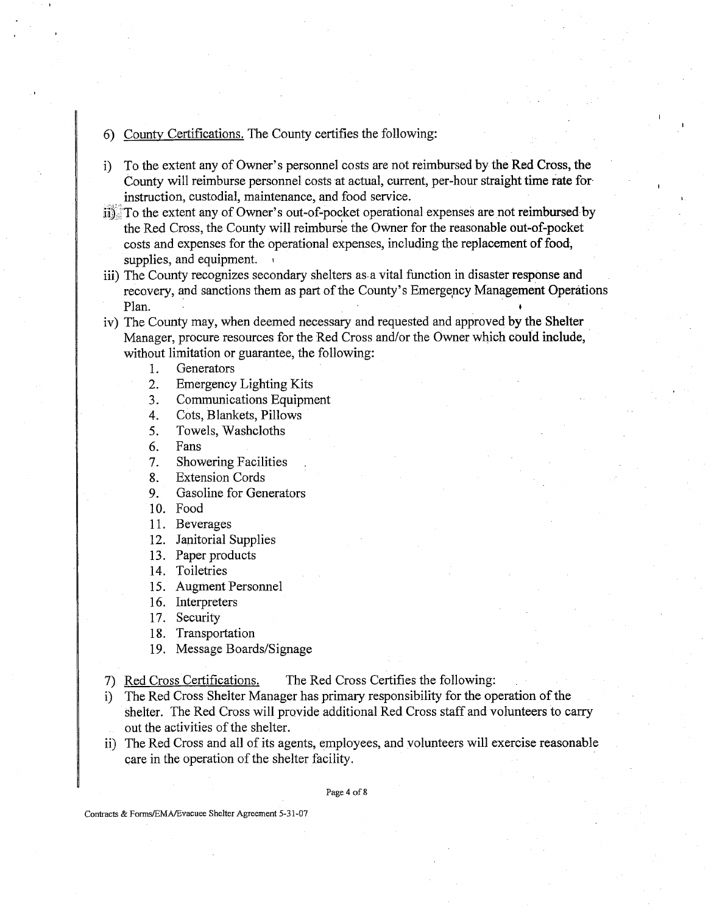- 6) Countv Certifications. The County certifies the following:
- i) To the extent any of Owner's personnel costs are not reimbursed by the Red Cross, the County will reimburse personnel costs at actual, current, per-hour straight time rate for instruction, custodial, maintenance, and food service.
- ii3 To the extent any of Owner's out-of-pocket operational expenses are not reimbursed by the Red Cross, the County will reimburse the Owner for the reasonable out-of-pocket costs and expenses for the operational expenses, including the replacement of food, supplies, and equipment.
- iii) The County recognizes secondary shelters as a vital function in disaster response and recovery, and sanctions them as part of the County's Emergency Management Operations Plan.
- iv) The County may, when deemed necessary and requested and approved by the Shelter Manager, procure resources for the Red Cross and/or the Owner which could include, without limitation or guarantee, the following:
	- $\mathbf{1}$ . Generators
	- $2.$ Emergency Lighting Kits
	- 3. Communications Equipment
	- $4.$ Cots, Blankets, Pillows
	- Towels, Washcloths 5.
	- 6. Fans
	- $7<sub>1</sub>$ Showering Facilities ,
	- 8. Extension Cords
	- 9. Gasoline for Generators
	- 10. Food
	- 11. Beverages
	- 12. Janitorial Supplies
	- 13. Paper products
	- 14. Toiletries
	- 15. Augment Personnel
	- 16. Interpreters

17. Security

18. Transportation

- 19. Message Boards/Signage
- 7) Red Cross Certifications. The Red Cross Certifies the following:
- i) The Red Cross Shelter Manager has primary responsibility for the operation of the shelter. The Red Cross will provide additional Red Cross staff and volunteers to carry out the activities of the shelter.
- ii) The Red Cross and all of its agents, employees, and volunteers will exercise reasonable care in the operation of the shelter facility.

Page 4 of 8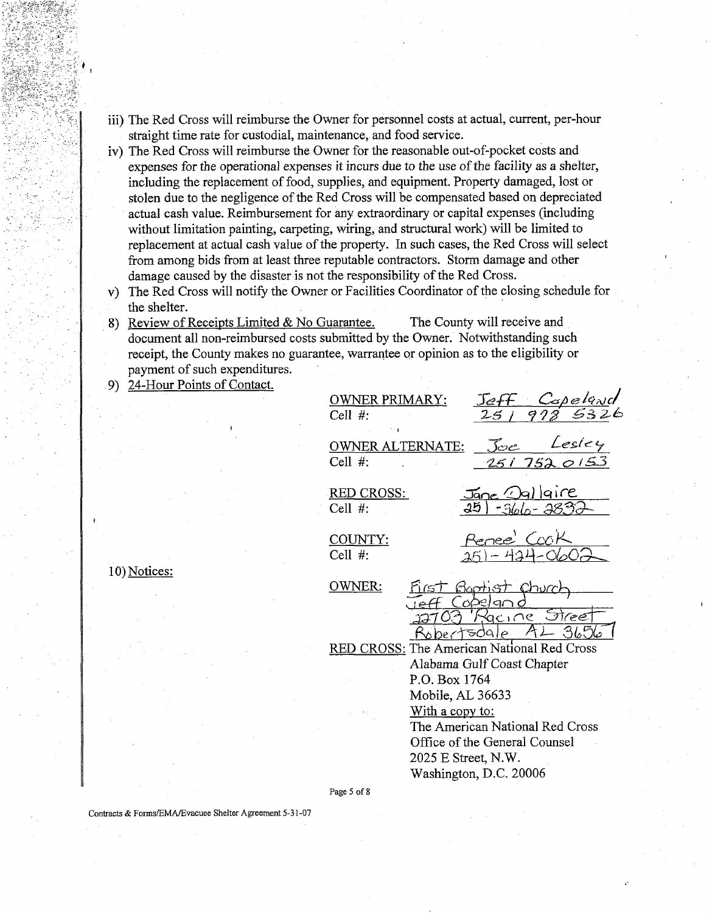- iii) The Red Cross will reimburse the Owner for personnel costs at actual, current, per-hour straight time rate for custodial, maintenance, and food service.
- iv) The Red Cross will reimburse the Owner for the reasonable out-of-pocket costs and expenses for the operational expenses it incurs due to the use of the facility as a shelter, including the replacement of food, supplies, and equipment. Property damaged, lost or stolen due to the negligence of the Red Cross will be compensated based on depreciated actual cash value. Reimbursement for any extraordinary or capital expenses (including without limitation painting, carpeting, wiring, and structural work) will be limited to replacement at actual cash value of the property. In such cases, the Red Cross will select from among bids from at least three reputable contractors. Storm damage and other damage caused by the disaster is not the responsibility of the Red Cross.
- v) The Red Cross will notify the Owner or Facilities Coordinator of the dosing schedule for the shelter.
- 8) Review of Receipts Limited & No Guarantee. The County will receive and document all non-reimbursed costs submitted by the Owner. Notwithstanding such receipt, the County makes no guarantee, warrantee or opinion as to the eligibility or payment of such expenditures.
- 9) 24-Hour Points of Contact.

| OWNER PRIMARY:<br>Cell $#$ :               |                                                                                                                                                        |                                 |                                | <u>Copeland</u><br>12 532k |
|--------------------------------------------|--------------------------------------------------------------------------------------------------------------------------------------------------------|---------------------------------|--------------------------------|----------------------------|
| <u>OWNER</u> ALT<br>Cell $#$ :             | ERNATE:                                                                                                                                                | Joc<br><u>251 7520153</u>       |                                | Lesley                     |
| <b>RED CROSS:</b><br>Cell $#$ :            |                                                                                                                                                        | $\sim$ $\sim$ $\sim$<br>∏ane.   | lgire<br>-366- <del>3</del> 83 |                            |
| COUNTY:<br>Cell $#$ :                      |                                                                                                                                                        | Renee Cook                      |                                |                            |
| OWNER:                                     | p/T51                                                                                                                                                  | <u>foroth ST</u><br>Яſ<br>gcine | <u>Churc</u><br>Stree          |                            |
| RED CROSS: The American National Red Cross | Alabama Gulf Coast Chapter<br>P.O. Box 1764<br>Mobile, AL 36633<br>With a copy to:<br>The American National Red Cross<br>Office of the General Counsel |                                 |                                |                            |
| Page 5 of 8                                | 2025 E Street, N.W.<br>Washington, D.C. 20006                                                                                                          |                                 |                                |                            |

**I** 

10) Notices: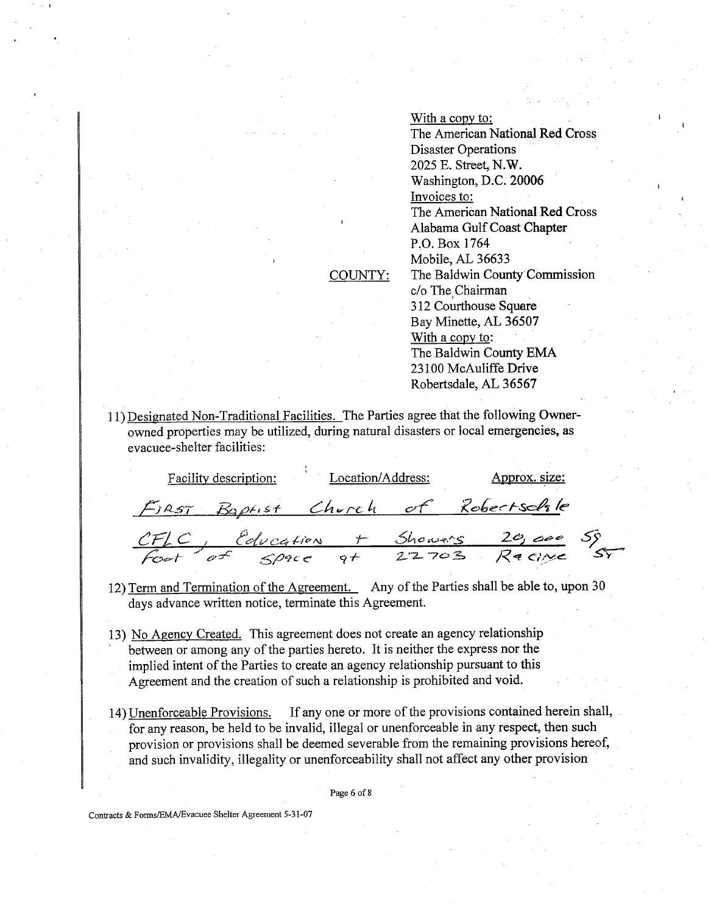With a copy to: The American National Red Cross Disaster Operations **2025** E. Street, **N.W.**  Washington, D.C. **20006** <sup>I</sup> Invoices to: The American National Red Cross Alabama Gulf Coast Chapter P.O. Box **1764**  Mobile, AL **36633**  The Baldwin County Commission c/o The Chairman **3 12** Courthouse Square Bay Minette, AL **36507**  With a copy to: The Baldwin County **EMA 23 100** McAuliffe **Drive**  Robertsdale, AL **36567** 

**1 1)** Designated Non-Traditional Facilities. The Parties agree that the following Ownerowned properties may be utilized, during natural disasters or local emergencies, as evacuee-shelter facilities:

COUNTY:

| Facility description: |  | Location/Address: |  | Approx. size:                                                           |  |
|-----------------------|--|-------------------|--|-------------------------------------------------------------------------|--|
|                       |  |                   |  | FIRST Baptist Church of Robertschle                                     |  |
|                       |  |                   |  | CF/C, Education + Showers 20,000 SS<br>Foot of Space at 22703 Recine ST |  |
|                       |  |                   |  |                                                                         |  |

- **12)** Term and Termination of the Agreement. Any of the Parties shall be able to, upon **30**  days advance written notice, terminate this Agreement.
- 13) <u>No Agency Created.</u> This agreement does not create an agency relationship between or among any of the parties hereto. It is neither the express nor the implied intent of the Parties to create an agency relationship pursuant to this Agreement and the creation of such a relationship is prohibited and void.
- **14)** Unenforceable Provisions. If any one or more of the provisions contained herein shall, for any reason, be held to be invalid, illegal or unenforceable in any respect, then such provision or provisions shall be deemed severable from the remaining provisions hereof, and such invalidity, illegality or unenforceability shall not affect any other provision

Page 6 of 8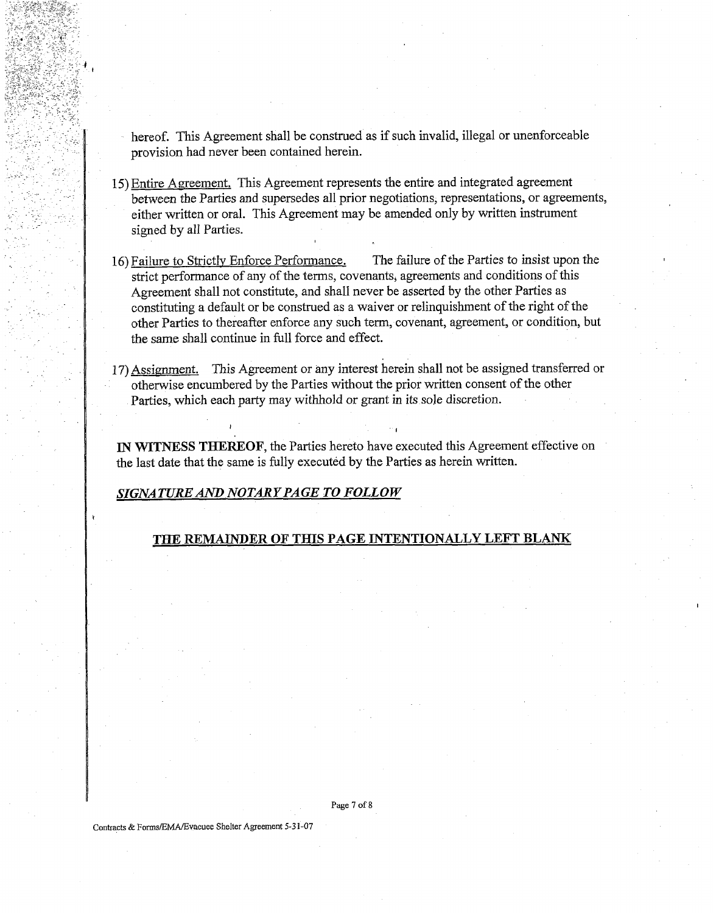hereof. This Agreement shall be construed as if such invalid, illegal or unenforceable provision had never been contained herein.

- 15) Entire Agreement. This Agreement represents the entire and integrated agreement between the Parties and supersedes all prior negotiations, representations, or agreements, either written or oral. This Agreement may be amended only by written instrument signed by all Parties.
- 16) Failure to Strictly Enforce Performance. The failure of the Parties to insist upon the strict performance of any of the terms, covenants, agreements and conditions of this Agreement shall not constitute, and shall never be asserted by the other Parties as constituting a default or be construed as a waiver or relinquishment of the right of the other Parties to thereafter enforce any such term, covenant, agreement, or condition, but the same shall continue in full force and effect.
- 17) Assignment. This Agreement or any interest herein shall not be assigned transferred or otherwise encumbered by the Parties without the prior written consent of the other Parties, which each party may withhold or grant in its sole discretion.

**IN WITNESS THEREOF,** the Parties hereto have executed this Agreement effective on the last date that the same is fully executed by the Parties as herein written.

**I I** 

### *SIGNATURE* **AND** *NOTARY PAGE TO FOLLOW*

## **THE REMrLINDER OF THIS PAGE INTENTIONALLY LEFT BLANK**